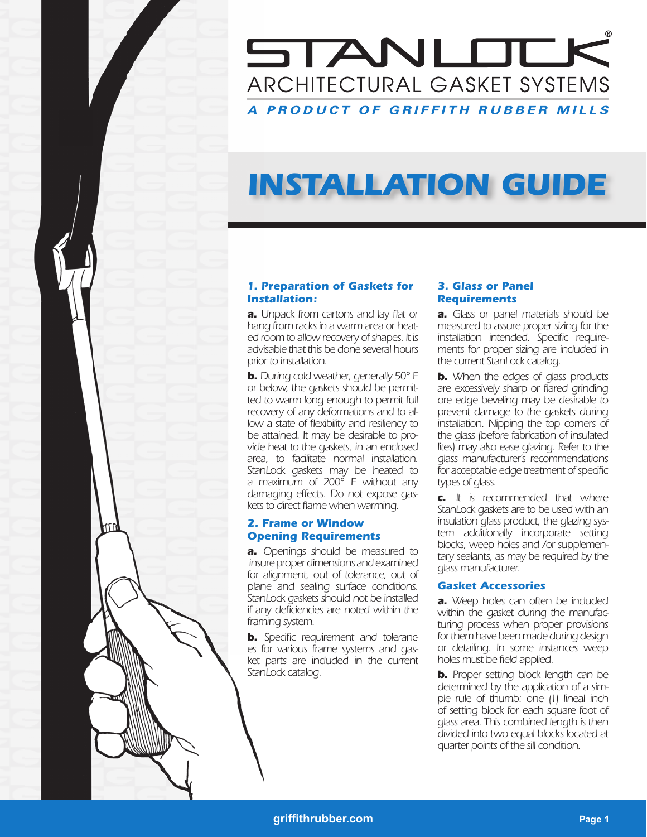### STANLOCK ARCHITECTURAL GASKET SYSTEMS A PRODUCT OF GRIFFITH RUBBER MILLS

# *INSTALLATION GUIDE*

#### *1. Preparation of Gaskets for Installation:*

**a.** Unpack from cartons and lay flat or *hang from racks in a warm area or heated room to allow recovery of shapes. It is advisable that this be done several hours prior to installation.*

*b. During cold weather, generally 50° F or below, the gaskets should be permitted to warm long enough to permit full recovery of any deformations and to al*low a state of flexibility and resiliency to *be attained. It may be desirable to provide heat to the gaskets, in an enclosed area, to facilitate normal installation. StanLock gaskets may be heated to a maximum of 200° F without any damaging effects. Do not expose gas*kets to direct flame when warming.

#### *2. Frame or Window Opening Requirements*

*a. Openings should be measured to insure proper dimensions and examined for alignment, out of tolerance, out of plane and sealing surface conditions. StanLock gaskets should not be installed if any defi ciencies are noted within the framing system.*

**b.** Specific requirement and toleranc*es for various frame systems and gasket parts are included in the current StanLock catalog.* 

#### *3. Glass or Panel Requirements*

*a. Glass or panel materials should be measured to assure proper sizing for the*  installation intended. Specific require*ments for proper sizing are included in the current StanLock catalog.*

*b. When the edges of glass products*  are excessively sharp or flared grinding *ore edge beveling may be desirable to prevent damage to the gaskets during installation. Nipping the top corners of the glass (before fabrication of insulated lites) may also ease glazing. Refer to the glass manufacturer's recommendations*  for acceptable edge treatment of specific *types of glass.*

*c. It is recommended that where StanLock gaskets are to be used with an insulation glass product, the glazing system additionally incorporate setting blocks, weep holes and /or supplementary sealants, as may be required by the glass manufacturer.*

#### *Gasket Accessories*

*a. Weep holes can often be included within the gasket during the manufacturing process when proper provisions for them have been made during design or detailing. In some instances weep*  holes must be field applied.

*b. Proper setting block length can be determined by the application of a simple rule of thumb: one (1) lineal inch of setting block for each square foot of glass area. This combined length is then divided into two equal blocks located at quarter points of the sill condition.*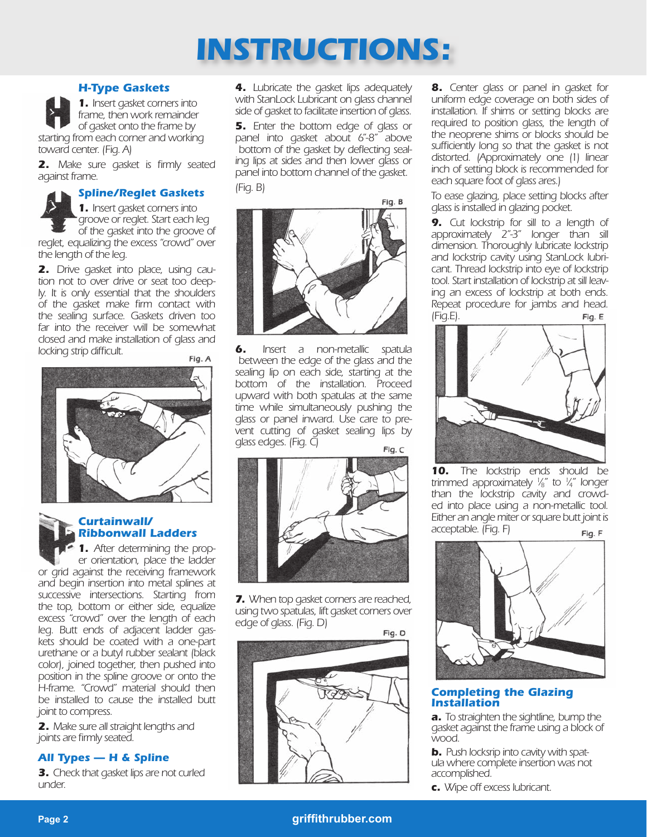# *INSTRUCTIONS:*

#### *H-Type Gaskets*



 *1. Insert gasket corners into frame, then work remainder of gasket onto the frame by* 

*starting from each corner and working toward center. (Fig. A)*

**2.** Make sure gasket is firmly seated *against frame.*

#### *Spline/Reglet Gaskets*

 *1. Insert gasket corners into groove or reglet. Start each leg of the gasket into the groove of* 

*reglet, equalizing the excess "crowd" over the length of the leg.*

*2. Drive gasket into place, using caution not to over drive or seat too deeply. It is only essential that the shoulders of the gasket make fi rm contact with the sealing surface. Gaskets driven too far into the receiver will be somewhat closed and make installation of glass and locking strip difficult.* 

Fig. A



#### *Curtainwall/ Ribbonwall Ladders*

 *1. After determining the prop er orientation, place the ladder or grid against the receiving framework and begin insertion into metal splines at successive intersections. Starting from the top, bottom or either side, equalize excess "crowd" over the length of each leg. Butt ends of adjacent ladder gaskets should be coated with a one-part urethane or a butyl rubber sealant (black color), joined together, then pushed into position in the spline groove or onto the H-frame. "Crowd" material should then be installed to cause the installed butt joint to compress.*

*2. Make sure all straight lengths and*  joints are firmly seated.

#### *All Types — H & Spline*

*3. Check that gasket lips are not curled under.*

*4. Lubricate the gasket lips adequately with StanLock Lubricant on glass channel side of gasket to facilitate insertion of glass.*

*5. Enter the bottom edge of glass or panel into gasket about 6"-8" above* bottom of the gasket by deflecting seal*ing lips at sides and then lower glass or panel into bottom channel of the gasket. (Fig. B)*



*6. Insert a non-metallic spatula between the edge of the glass and the sealing lip on each side, starting at the bottom of the installation. Proceed upward with both spatulas at the same time while simultaneously pushing the glass or panel inward. Use care to prevent cutting of gasket sealing lips by glass edges. (Fig. C)*



*7. When top gasket corners are reached, using two spatulas, lift gasket corners over edge of glass. (Fig. D)*

Fig. D



*8. Center glass or panel in gasket for uniform edge coverage on both sides of installation. If shims or setting blocks are required to position glass, the length of the neoprene shims or blocks should be suffi ciently long so that the gasket is not distorted. (Approximately one (1) linear inch of setting block is recommended for each square foot of glass ares.)*

*To ease glazing, place setting blocks after glass is installed in glazing pocket.*

*9. Cut lockstrip for sill to a length of approximately 2"-3" longer than sill dimension. Thoroughly lubricate lockstrip and lockstrip cavity using StanLock lubricant. Thread lockstrip into eye of lockstrip tool. Start installation of lockstrip at sill leaving an excess of lockstrip at both ends. Repeat procedure for jambs and head. (Fig.E).* Fig. E



*10. The lockstrip ends should be trimmed approximately 1 8" to 1 4" longer ⁄ ⁄ than the lockstrip cavity and crowded into place using a non-metallic tool. Either an angle miter or square butt joint is acceptable. (Fig. F)* Fig. F



#### *Completing the Glazing Installation*

*a. To straighten the sightline, bump the gasket against the frame using a block of wood.*

*b. Push locksrip into cavity with spatula where complete insertion was not accomplished.*

*c. Wipe off excess lubricant.*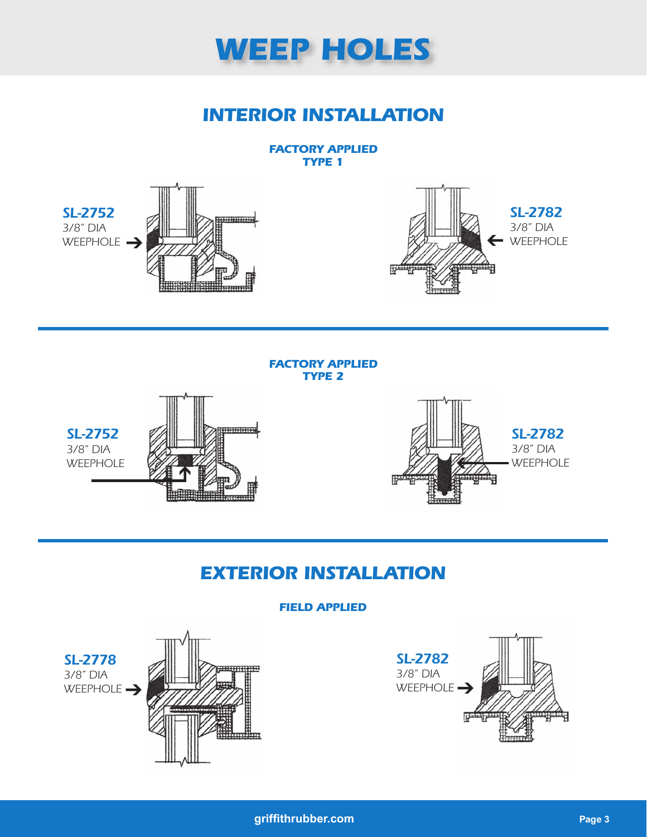

### *INTERIOR INSTALLATION*

#### *FACTORY APPLIED TYPE 1*



#### *FACTORY APPLIED TYPE 2*





### *EXTERIOR INSTALLATION*

### *FIELD APPLIED*